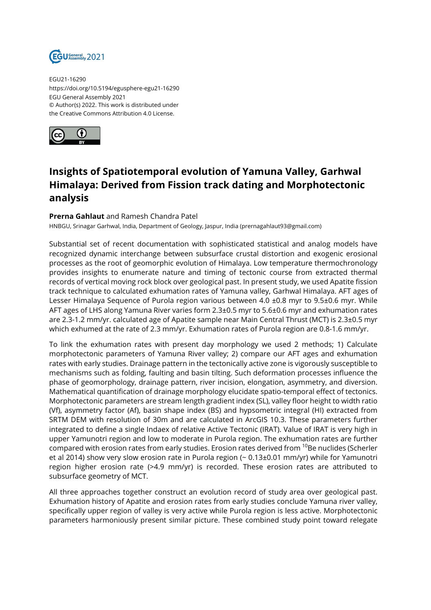

EGU21-16290 https://doi.org/10.5194/egusphere-egu21-16290 EGU General Assembly 2021 © Author(s) 2022. This work is distributed under the Creative Commons Attribution 4.0 License.



## **Insights of Spatiotemporal evolution of Yamuna Valley, Garhwal Himalaya: Derived from Fission track dating and Morphotectonic analysis**

## **Prerna Gahlaut** and Ramesh Chandra Patel

HNBGU, Srinagar Garhwal, India, Department of Geology, Jaspur, India (prernagahlaut93@gmail.com)

Substantial set of recent documentation with sophisticated statistical and analog models have recognized dynamic interchange between subsurface crustal distortion and exogenic erosional processes as the root of geomorphic evolution of Himalaya. Low temperature thermochronology provides insights to enumerate nature and timing of tectonic course from extracted thermal records of vertical moving rock block over geological past. In present study, we used Apatite fission track technique to calculated exhumation rates of Yamuna valley, Garhwal Himalaya. AFT ages of Lesser Himalaya Sequence of Purola region various between 4.0 ±0.8 myr to 9.5±0.6 myr. While AFT ages of LHS along Yamuna River varies form 2.3±0.5 myr to 5.6±0.6 myr and exhumation rates are 2.3-1.2 mm/yr. calculated age of Apatite sample near Main Central Thrust (MCT) is 2.3±0.5 myr which exhumed at the rate of 2.3 mm/yr. Exhumation rates of Purola region are 0.8-1.6 mm/yr.

To link the exhumation rates with present day morphology we used 2 methods; 1) Calculate morphotectonic parameters of Yamuna River valley; 2) compare our AFT ages and exhumation rates with early studies. Drainage pattern in the tectonically active zone is vigorously susceptible to mechanisms such as folding, faulting and basin tilting. Such deformation processes influence the phase of geomorphology, drainage pattern, river incision, elongation, asymmetry, and diversion. Mathematical quantification of drainage morphology elucidate spatio-temporal effect of tectonics. Morphotectonic parameters are stream length gradient index (SL), valley floor height to width ratio (Vf), asymmetry factor (Af), basin shape index (BS) and hypsometric integral (HI) extracted from SRTM DEM with resolution of 30m and are calculated in ArcGIS 10.3. These parameters further integrated to define a single Indaex of relative Active Tectonic (IRAT). Value of IRAT is very high in upper Yamunotri region and low to moderate in Purola region. The exhumation rates are further compared with erosion rates from early studies. Erosion rates derived from <sup>10</sup>Be nuclides (Scherler et al 2014) show very slow erosion rate in Purola region (~ 0.13±0.01 mm/yr) while for Yamunotri region higher erosion rate (>4.9 mm/yr) is recorded. These erosion rates are attributed to subsurface geometry of MCT.

All three approaches together construct an evolution record of study area over geological past. Exhumation history of Apatite and erosion rates from early studies conclude Yamuna river valley, specifically upper region of valley is very active while Purola region is less active. Morphotectonic parameters harmoniously present similar picture. These combined study point toward relegate